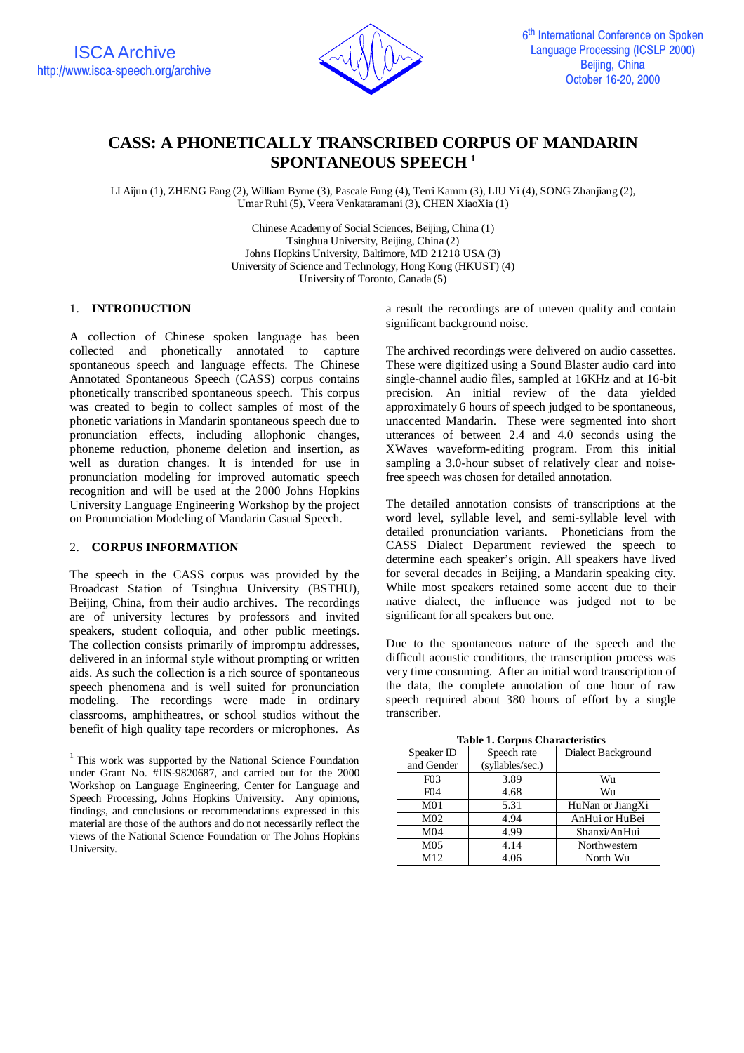

# **CASS: A PHONETICALLY TRANSCRIBED CORPUS OF MANDARIN SPONTANEOUS SPEECH <sup>1</sup>**

LI Aijun (1), ZHENG Fang (2), William Byrne (3), Pascale Fung (4), Terri Kamm (3), LIU Yi (4), SONG Zhanjiang (2), Umar Ruhi (5), Veera Venkataramani (3), CHEN XiaoXia (1)

> Chinese Academy of Social Sciences, Beijing, China (1) Tsinghua University, Beijing, China (2) Johns Hopkins University, Baltimore, MD 21218 USA (3) University of Science and Technology, Hong Kong (HKUST) (4) University of Toronto, Canada (5)

# 1. **INTRODUCTION**<sup>1</sup>

A collection of Chinese spoken language has been collected and phonetically annotated to capture spontaneous speech and language effects. The Chinese Annotated Spontaneous Speech (CASS) corpus contains phonetically transcribed spontaneous speech. This corpus was created to begin to collect samples of most of the phonetic variations in Mandarin spontaneous speech due to pronunciation effects, including allophonic changes, phoneme reduction, phoneme deletion and insertion, as well as duration changes. It is intended for use in pronunciation modeling for improved automatic speech recognition and will be used at the 2000 Johns Hopkins University Language Engineering Workshop by the project on Pronunciation Modeling of Mandarin Casual Speech.

## 2. **CORPUS INFORMATION**

The speech in the CASS corpus was provided by the Broadcast Station of Tsinghua University (BSTHU), Beijing, China, from their audio archives. The recordings are of university lectures by professors and invited speakers, student colloquia, and other public meetings. The collection consists primarily of impromptu addresses, delivered in an informal style without prompting or written aids. As such the collection is a rich source of spontaneous speech phenomena and is well suited for pronunciation modeling. The recordings were made in ordinary classrooms, amphitheatres, or school studios without the benefit of high quality tape recorders or microphones. As

a result the recordings are of uneven quality and contain significant background noise.

The archived recordings were delivered on audio cassettes. These were digitized using a Sound Blaster audio card into single-channel audio files, sampled at 16KHz and at 16-bit precision. An initial review of the data yielded approximately 6 hours of speech judged to be spontaneous, unaccented Mandarin. These were segmented into short utterances of between 2.4 and 4.0 seconds using the XWaves waveform-editing program. From this initial sampling a 3.0-hour subset of relatively clear and noisefree speech was chosen for detailed annotation.

The detailed annotation consists of transcriptions at the word level, syllable level, and semi-syllable level with detailed pronunciation variants. Phoneticians from the CASS Dialect Department reviewed the speech to determine each speaker's origin. All speakers have lived for several decades in Beijing, a Mandarin speaking city. While most speakers retained some accent due to their native dialect, the influence was judged not to be significant for all speakers but one.

Due to the spontaneous nature of the speech and the difficult acoustic conditions, the transcription process was very time consuming. After an initial word transcription of the data, the complete annotation of one hour of raw speech required about 380 hours of effort by a single transcriber.

**Table 1. Corpus Characteristics** Speaker ID | Speech rate | Dialect Background (syllables/sec.)

| and Gender       | (syllables/sec.) |                  |
|------------------|------------------|------------------|
| F <sub>0</sub> 3 | 3.89             | Wu               |
| F <sub>04</sub>  | 4.68             | Wu               |
| M <sub>01</sub>  | 5.31             | HuNan or JiangXi |
| M <sub>02</sub>  | 4.94             | AnHui or HuBei   |
| M04              | 4.99             | Shanxi/AnHui     |
| M <sub>05</sub>  | 4.14             | Northwestern     |
| M12              | 4.06             | North Wu         |

<sup>&</sup>lt;sup>1</sup> This work was supported by the National Science Foundation under Grant No. #IIS-9820687, and carried out for the 2000 Workshop on Language Engineering, Center for Language and Speech Processing, Johns Hopkins University. Any opinions, findings, and conclusions or recommendations expressed in this material are those of the authors and do not necessarily reflect the views of the National Science Foundation or The Johns Hopkins University.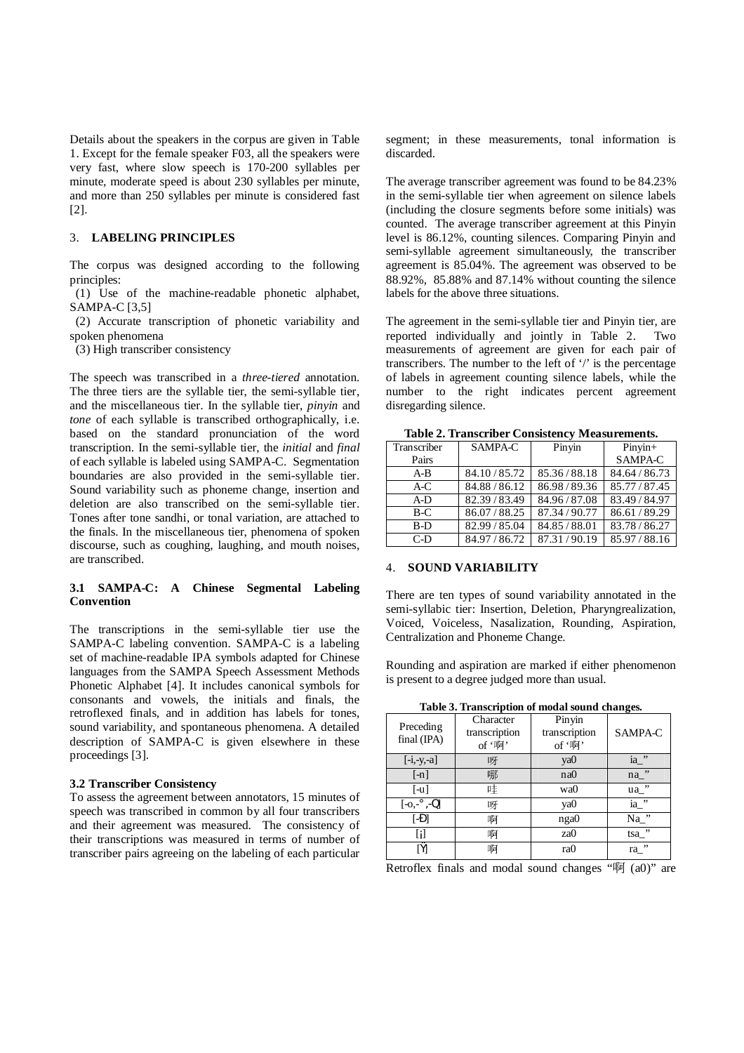Details about the speakers in the corpus are given in Table 1. Except for the female speaker F03, all the speakers were very fast, where slow speech is 170-200 syllables per minute, moderate speed is about 230 syllables per minute, and more than 250 syllables per minute is considered fast [2].

# 3. **LABELING PRINCIPLES**

The corpus was designed according to the following principles:

(1) Use of the machine-readable phonetic alphabet, SAMPA-C [3,5]

(2) Accurate transcription of phonetic variability and spoken phenomena

(3) High transcriber consistency

The speech was transcribed in a *three*-*tiered* annotation. The three tiers are the syllable tier, the semi-syllable tier, and the miscellaneous tier. In the syllable tier, *pinyin* and *tone* of each syllable is transcribed orthographically, i.e. based on the standard pronunciation of the word transcription. In the semi-syllable tier, the *initial* and *final* of each syllable is labeled using SAMPA-C. Segmentation boundaries are also provided in the semi-syllable tier. Sound variability such as phoneme change, insertion and deletion are also transcribed on the semi-syllable tier. Tones after tone sandhi, or tonal variation, are attached to the finals. In the miscellaneous tier, phenomena of spoken discourse, such as coughing, laughing, and mouth noises, are transcribed.

# **3.1 SAMPA-C: A Chinese Segmental Labeling Convention**

The transcriptions in the semi-syllable tier use the SAMPA-C labeling convention. SAMPA-C is a labeling set of machine-readable IPA symbols adapted for Chinese languages from the SAMPA Speech Assessment Methods Phonetic Alphabet [4]. It includes canonical symbols for consonants and vowels, the initials and finals, the retroflexed finals, and in addition has labels for tones, sound variability, and spontaneous phenomena. A detailed description of SAMPA-C is given elsewhere in these proceedings [3].

#### **3.2 Transcriber Consistency**

To assess the agreement between annotators, 15 minutes of speech was transcribed in common by all four transcribers and their agreement was measured. The consistency of their transcriptions was measured in terms of number of transcriber pairs agreeing on the labeling of each particular

segment; in these measurements, tonal information is discarded.

The average transcriber agreement was found to be 84.23% in the semi-syllable tier when agreement on silence labels (including the closure segments before some initials) was counted. The average transcriber agreement at this Pinyin level is 86.12%, counting silences. Comparing Pinyin and semi-syllable agreement simultaneously, the transcriber agreement is 85.04%. The agreement was observed to be 88.92%, 85.88% and 87.14% without counting the silence labels for the above three situations.

The agreement in the semi-syllable tier and Pinyin tier, are reported individually and jointly in Table 2. Two measurements of agreement are given for each pair of transcribers. The number to the left of '/' is the percentage of labels in agreement counting silence labels, while the number to the right indicates percent agreement disregarding silence.

| Table 2. Transcriber Consistency Measurements. |             |             |             |  |  |  |
|------------------------------------------------|-------------|-------------|-------------|--|--|--|
| Transcriber                                    | SAMPA-C     | Pinyin      | $Pinyin+$   |  |  |  |
| Pairs                                          |             |             | SAMPA-C     |  |  |  |
| $A-B$                                          | 84.10/85.72 | 85.36/88.18 | 84.64/86.73 |  |  |  |
| A-C                                            | 84.88/86.12 | 86.98/89.36 | 85.77/87.45 |  |  |  |
| $A-D$                                          | 82.39/83.49 | 84.96/87.08 | 83.49/84.97 |  |  |  |
| $B-C$                                          | 86.07/88.25 | 87.34/90.77 | 86.61/89.29 |  |  |  |

B-D 82.99 / 85.04 84.85 / 88.01 83.78 / 86<br>C-D 84.97 / 86.72 87.31 / 90.19 85.97 / 88

84.97 / 86.72 87.31 / 90.19 85.97 / 88

# 4. **SOUND VARIABILITY**

There are ten types of sound variability annotated in the semi-syllabic tier: Insertion, Deletion, Pharyngrealization, Voiced, Voiceless, Nasalization, Rounding, Aspiration, Centralization and Phoneme Change.

Rounding and aspiration are marked if either phenomenon is present to a degree judged more than usual.

| Preceding<br>final (IPA) | Character<br>transcription<br>of '啊' | Pinyin<br>transcription<br>of '啊' | SAMPA-C   |
|--------------------------|--------------------------------------|-----------------------------------|-----------|
| $[-i, -y, -a]$           | 呀                                    | ya0                               | , ,<br>ia |
| $[-n]$                   | 哪                                    | na0                               | , ,<br>na |
| $[-u]$                   | 哇                                    | wa0                               | ,,<br>ua_ |
| $[-0, -^{\circ}, -0]$    | 呀                                    | ya0                               | ,,<br>ia  |
| $[-D]$                   | 啊                                    | nga0                              | ,,<br>Na  |
|                          | 啊                                    | za0                               | tsa."     |
| [Ÿ]                      | 啊                                    | ra0                               | , ,<br>ra |

Retroflex finals and modal sound changes " $\overline{w}$  (a0)" are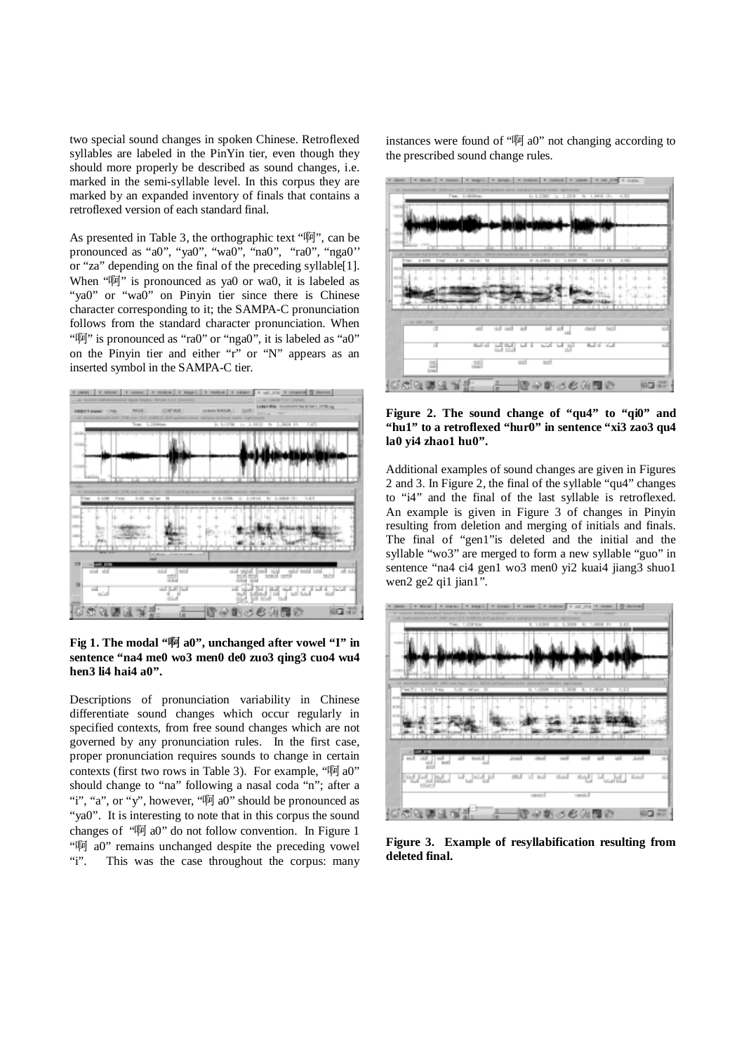two special sound changes in spoken Chinese. Retroflexed syllables are labeled in the PinYin tier, even though they should more properly be described as sound changes, i.e. marked in the semi-syllable level. In this corpus they are marked by an expanded inventory of finals that contains a retroflexed version of each standard final.

As presented in Table 3, the orthographic text " $\mathbb{W}$ ", can be pronounced as "a0", "ya0", "wa0", "na0", "ra0", "nga0'' or "za" depending on the final of the preceding syllable[1]. When " $\overline{w}$ " is pronounced as va0 or wa0, it is labeled as "ya0" or "wa0" on Pinyin tier since there is Chinese character corresponding to it; the SAMPA-C pronunciation follows from the standard character pronunciation. When "" is pronounced as "ra0" or "nga0", it is labeled as "a0" on the Pinyin tier and either "r" or "N" appears as an inserted symbol in the SAMPA-C tier.



Fig 1. The modal "啊 a0", unchanged after vowel "I" in **sentence "na4 me0 wo3 men0 de0 zuo3 qing3 cuo4 wu4 hen3 li4 hai4 a0".**

Descriptions of pronunciation variability in Chinese differentiate sound changes which occur regularly in specified contexts, from free sound changes which are not governed by any pronunciation rules. In the first case, proper pronunciation requires sounds to change in certain contexts (first two rows in Table 3). For example, " $\overline{w}$  a0" should change to "na" following a nasal coda "n"; after a "i", "a", or "y", however, " $\overline{w}$  a0" should be pronounced as "ya0". It is interesting to note that in this corpus the sound changes of " $\overline{w}$  a0" do not follow convention. In Figure 1 " $\overline{w}$  a0" remains unchanged despite the preceding vowel<br>"i". This was the case throughout the corpus: many This was the case throughout the corpus: many instances were found of " $\overline{w}$  a0" not changing according to the prescribed sound change rules.



**Figure 2. The sound change of "qu4" to "qi0" and "hu1" to a retroflexed "hur0" in sentence "xi3 zao3 qu4 la0 yi4 zhao1 hu0".**

Additional examples of sound changes are given in Figures 2 and 3. In Figure 2, the final of the syllable "qu4" changes to "i4" and the final of the last syllable is retroflexed. An example is given in Figure 3 of changes in Pinyin resulting from deletion and merging of initials and finals. The final of "gen1"is deleted and the initial and the syllable "wo3" are merged to form a new syllable "guo" in sentence "na4 ci4 gen1 wo3 men0 yi2 kuai4 jiang3 shuo1 wen2 ge2 qi1 jian1".



**Figure 3. Example of resyllabification resulting from deleted final.**